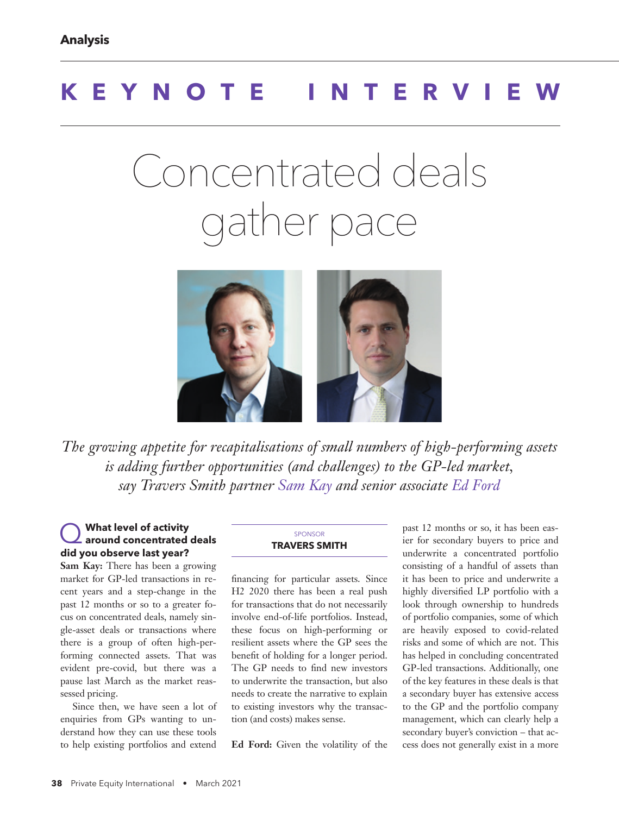# **KEYNOTE INTERVIEW**

# Concentrated deals gather pace



*The growing appetite for recapitalisations of small numbers of high-performing assets is adding further opportunities (and challenges) to the GP-led market, say Travers Smith partner Sam Kay and senior associate Ed Ford*

## Q **What level of activity around concentrated deals did you observe last year?**

**Sam Kay:** There has been a growing market for GP-led transactions in recent years and a step-change in the past 12 months or so to a greater focus on concentrated deals, namely single-asset deals or transactions where there is a group of often high-performing connected assets. That was evident pre-covid, but there was a pause last March as the market reassessed pricing.

Since then, we have seen a lot of enquiries from GPs wanting to understand how they can use these tools to help existing portfolios and extend

#### SPONSOR **TRAVERS SMITH**

financing for particular assets. Since H2 2020 there has been a real push for transactions that do not necessarily involve end-of-life portfolios. Instead, these focus on high-performing or resilient assets where the GP sees the benefit of holding for a longer period. The GP needs to find new investors to underwrite the transaction, but also needs to create the narrative to explain to existing investors why the transaction (and costs) makes sense.

**Ed Ford:** Given the volatility of the

past 12 months or so, it has been easier for secondary buyers to price and underwrite a concentrated portfolio consisting of a handful of assets than it has been to price and underwrite a highly diversified LP portfolio with a look through ownership to hundreds of portfolio companies, some of which are heavily exposed to covid-related risks and some of which are not. This has helped in concluding concentrated GP-led transactions. Additionally, one of the key features in these deals is that a secondary buyer has extensive access to the GP and the portfolio company management, which can clearly help a secondary buyer's conviction – that access does not generally exist in a more